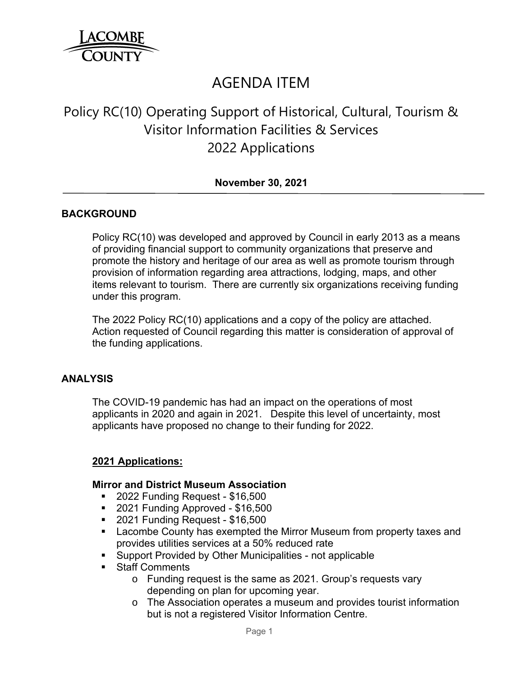

# AGENDA ITEM

# Policy RC(10) Operating Support of Historical, Cultural, Tourism & Visitor Information Facilities & Services 2022 Applications

## **November 30, 2021**

## **BACKGROUND**

Policy RC(10) was developed and approved by Council in early 2013 as a means of providing financial support to community organizations that preserve and promote the history and heritage of our area as well as promote tourism through provision of information regarding area attractions, lodging, maps, and other items relevant to tourism. There are currently six organizations receiving funding under this program.

The 2022 Policy RC(10) applications and a copy of the policy are attached. Action requested of Council regarding this matter is consideration of approval of the funding applications.

#### **ANALYSIS**

The COVID-19 pandemic has had an impact on the operations of most applicants in 2020 and again in 2021. Despite this level of uncertainty, most applicants have proposed no change to their funding for 2022.

#### **2021 Applications:**

#### **Mirror and District Museum Association**

- 2022 Funding Request \$16,500
- 2021 Funding Approved \$16,500
- 2021 Funding Request \$16,500
- **EXED Lacombe County has exempted the Mirror Museum from property taxes and** provides utilities services at a 50% reduced rate
- Support Provided by Other Municipalities not applicable
- **Staff Comments** 
	- o Funding request is the same as 2021. Group's requests vary depending on plan for upcoming year.
	- o The Association operates a museum and provides tourist information but is not a registered Visitor Information Centre.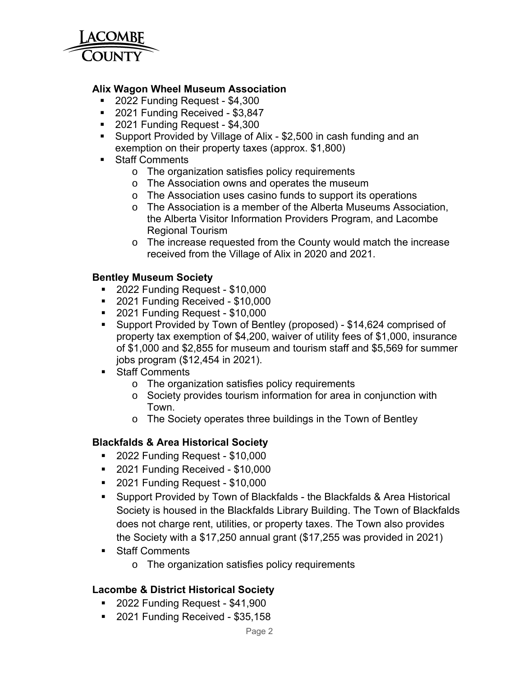

#### **Alix Wagon Wheel Museum Association**

- 2022 Funding Request \$4,300
- 2021 Funding Received \$3,847
- 2021 Funding Request \$4,300
- **Support Provided by Village of Alix \$2,500 in cash funding and an** exemption on their property taxes (approx. \$1,800)
- **Staff Comments** 
	- o The organization satisfies policy requirements
	- o The Association owns and operates the museum
	- o The Association uses casino funds to support its operations
	- o The Association is a member of the Alberta Museums Association, the Alberta Visitor Information Providers Program, and Lacombe Regional Tourism
	- o The increase requested from the County would match the increase received from the Village of Alix in 2020 and 2021.

#### **Bentley Museum Society**

- 2022 Funding Request \$10,000
- 2021 Funding Received \$10,000
- 2021 Funding Request \$10,000
- Support Provided by Town of Bentley (proposed) \$14,624 comprised of property tax exemption of \$4,200, waiver of utility fees of \$1,000, insurance of \$1,000 and \$2,855 for museum and tourism staff and \$5,569 for summer jobs program (\$12,454 in 2021).
- **Staff Comments** 
	- o The organization satisfies policy requirements
	- o Society provides tourism information for area in conjunction with Town.
	- o The Society operates three buildings in the Town of Bentley

## **Blackfalds & Area Historical Society**

- 2022 Funding Request \$10,000
- 2021 Funding Received \$10,000
- 2021 Funding Request \$10,000
- Support Provided by Town of Blackfalds the Blackfalds & Area Historical Society is housed in the Blackfalds Library Building. The Town of Blackfalds does not charge rent, utilities, or property taxes. The Town also provides the Society with a \$17,250 annual grant (\$17,255 was provided in 2021)
- **Staff Comments** 
	- o The organization satisfies policy requirements

## **Lacombe & District Historical Society**

- 2022 Funding Request \$41,900
- 2021 Funding Received \$35,158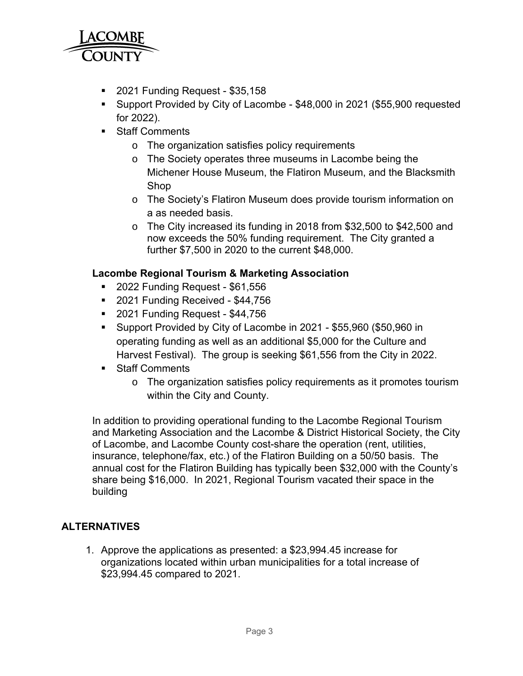

- 2021 Funding Request \$35,158
- Support Provided by City of Lacombe \$48,000 in 2021 (\$55,900 requested for 2022).
- **Staff Comments** 
	- o The organization satisfies policy requirements
	- o The Society operates three museums in Lacombe being the Michener House Museum, the Flatiron Museum, and the Blacksmith Shop
	- o The Society's Flatiron Museum does provide tourism information on a as needed basis.
	- o The City increased its funding in 2018 from \$32,500 to \$42,500 and now exceeds the 50% funding requirement. The City granted a further \$7,500 in 2020 to the current \$48,000.

## **Lacombe Regional Tourism & Marketing Association**

- **2022 Funding Request \$61,556**
- 2021 Funding Received \$44,756
- 2021 Funding Request \$44,756
- Support Provided by City of Lacombe in 2021 \$55,960 (\$50,960 in operating funding as well as an additional \$5,000 for the Culture and Harvest Festival). The group is seeking \$61,556 from the City in 2022.
- **Staff Comments** 
	- $\circ$  The organization satisfies policy requirements as it promotes tourism within the City and County.

In addition to providing operational funding to the Lacombe Regional Tourism and Marketing Association and the Lacombe & District Historical Society, the City of Lacombe, and Lacombe County cost-share the operation (rent, utilities, insurance, telephone/fax, etc.) of the Flatiron Building on a 50/50 basis. The annual cost for the Flatiron Building has typically been \$32,000 with the County's share being \$16,000. In 2021, Regional Tourism vacated their space in the building

## **ALTERNATIVES**

1. Approve the applications as presented: a \$23,994.45 increase for organizations located within urban municipalities for a total increase of \$23,994.45 compared to 2021.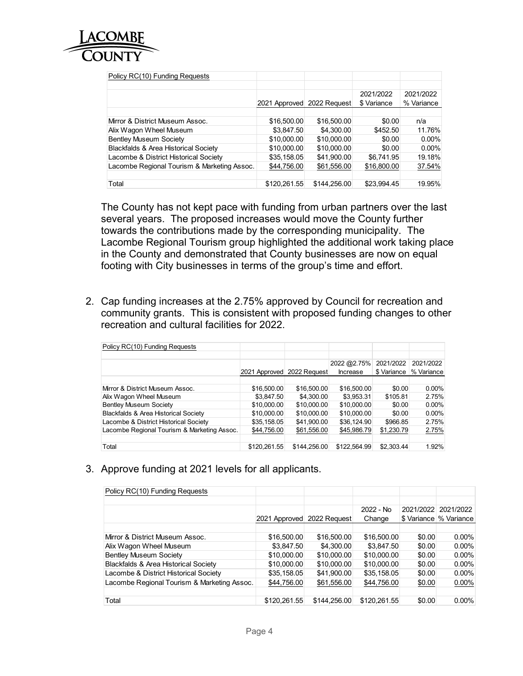

The County has not kept pace with funding from urban partners over the last several years. The proposed increases would move the County further towards the contributions made by the corresponding municipality. The Lacombe Regional Tourism group highlighted the additional work taking place in the County and demonstrated that County businesses are now on equal footing with City businesses in terms of the group's time and effort.

Lacombe Regional Tourism & Marketing Assoc. \$44,756.00 \$61,556.00 \$16,800.00 37.54% Total \$120,261.55 \$144,256.00 \$23,994.45 19.95%

2021/2022 % Variance

2. Cap funding increases at the 2.75% approved by Council for recreation and community grants. This is consistent with proposed funding changes to other recreation and cultural facilities for 2022.

| Policy RC(10) Funding Requests              |               |              |              |             |            |
|---------------------------------------------|---------------|--------------|--------------|-------------|------------|
|                                             |               |              |              |             |            |
|                                             |               |              | 2022 @2.75%  | 2021/2022   | 2021/2022  |
|                                             | 2021 Approved | 2022 Request | Increase     | \$ Variance | % Variance |
|                                             |               |              |              |             |            |
| Mirror & District Museum Assoc.             | \$16,500.00   | \$16,500.00  | \$16,500.00  | \$0.00      | $0.00\%$   |
| Alix Wagon Wheel Museum                     | \$3,847.50    | \$4,300.00   | \$3.953.31   | \$105.81    | 2.75%      |
| <b>Bentley Museum Society</b>               | \$10,000.00   | \$10,000.00  | \$10,000.00  | \$0.00      | $0.00\%$   |
| Blackfalds & Area Historical Society        | \$10,000.00   | \$10,000.00  | \$10,000.00  | \$0.00      | $0.00\%$   |
| Lacombe & District Historical Society       | \$35,158.05   | \$41.900.00  | \$36.124.90  | \$966.85    | 2.75%      |
| Lacombe Regional Tourism & Marketing Assoc. | \$44,756.00   | \$61,556.00  | \$45,986.79  | \$1,230.79  | 2.75%      |
|                                             |               |              |              |             |            |
| Total                                       | \$120.261.55  | \$144,256.00 | \$122.564.99 | \$2,303.44  | 1.92%      |

3. Approve funding at 2021 levels for all applicants.

| Policy RC(10) Funding Requests                  |              |                            |              |        |                          |
|-------------------------------------------------|--------------|----------------------------|--------------|--------|--------------------------|
|                                                 |              |                            |              |        |                          |
|                                                 |              |                            | 2022 - No    |        | 2021/2022 2021/2022      |
|                                                 |              | 2021 Approved 2022 Request | Change       |        | \$ Variance   % Variance |
|                                                 |              |                            |              |        |                          |
| Mirror & District Museum Assoc.                 | \$16,500.00  | \$16,500.00                | \$16,500.00  | \$0.00 | $0.00\%$                 |
| Alix Wagon Wheel Museum                         | \$3,847.50   | \$4,300.00                 | \$3,847.50   | \$0.00 | $0.00\%$                 |
| <b>Bentley Museum Society</b>                   | \$10,000.00  | \$10,000.00                | \$10,000.00  | \$0.00 | $0.00\%$                 |
| <b>Blackfalds &amp; Area Historical Society</b> | \$10,000.00  | \$10,000.00                | \$10,000.00  | \$0.00 | $0.00\%$                 |
| Lacombe & District Historical Society           | \$35,158.05  | \$41,900.00                | \$35,158.05  | \$0.00 | $0.00\%$                 |
| Lacombe Regional Tourism & Marketing Assoc.     | \$44,756.00  | \$61,556.00                | \$44,756.00  | \$0.00 | $0.00\%$                 |
|                                                 |              |                            |              |        |                          |
| Total                                           | \$120,261.55 | \$144,256.00               | \$120,261.55 | \$0.00 | $0.00\%$                 |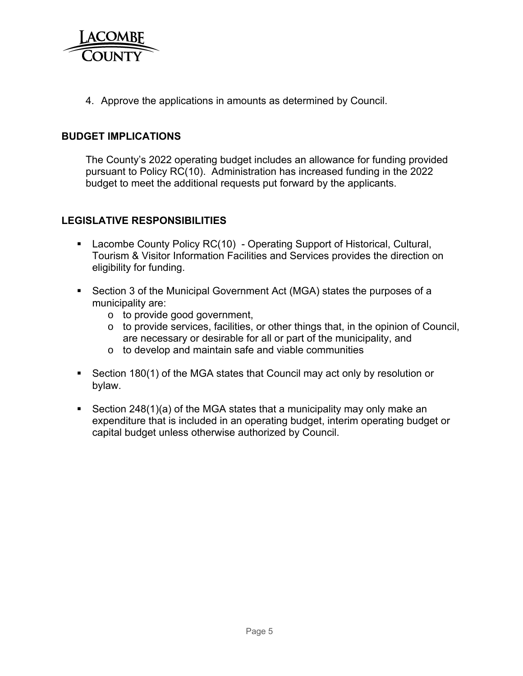

4. Approve the applications in amounts as determined by Council.

#### **BUDGET IMPLICATIONS**

The County's 2022 operating budget includes an allowance for funding provided pursuant to Policy RC(10). Administration has increased funding in the 2022 budget to meet the additional requests put forward by the applicants.

## **LEGISLATIVE RESPONSIBILITIES**

- Lacombe County Policy RC(10) Operating Support of Historical, Cultural, Tourism & Visitor Information Facilities and Services provides the direction on eligibility for funding.
- Section 3 of the Municipal Government Act (MGA) states the purposes of a municipality are:
	- o to provide good government,
	- o to provide services, facilities, or other things that, in the opinion of Council, are necessary or desirable for all or part of the municipality, and
	- o to develop and maintain safe and viable communities
- Section 180(1) of the MGA states that Council may act only by resolution or bylaw.
- Section 248(1)(a) of the MGA states that a municipality may only make an expenditure that is included in an operating budget, interim operating budget or capital budget unless otherwise authorized by Council.